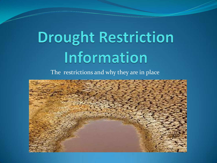# **Drought Restriction** Information

The restrictions and why they are in place

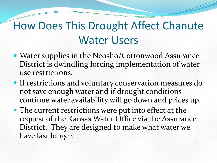#### How Does This Drought Affect Chanute Water Users

- Water supplies in the Neosho/Cottonwood Assurance District is dwindling forcing implementation of water use restrictions.
- If restrictions and voluntary conservation measures do not save enough water and if drought conditions continue water availability will go down and prices up.
- The current restrictions were put into effect at the request of the Kansas Water Office via the Assurance District. They are designed to make what water we have last longer.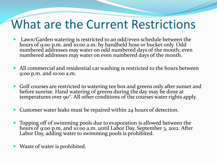- Lawn/Garden watering is restricted to an odd/even schedule between the hours of 9:00 p.m. and 10:00 a.m. by handheld hose or bucket only. Odd numbered addresses may water on odd numbered days of the month; even numbered addresses may water on even numbered days of the month.
- All commercial and residential car washing is restricted to the hours between 9:00 p.m. and 10:00 a.m.
- Golf courses are restricted to watering tee box and greens only after sunset and before sunrise. Hand watering of greens during the day may be done at temperatures over 90°. All other conditions of the courses water rights apply.
- Customer water leaks must be repaired within 24 hours of detection.
- Topping off of swimming pools due to evaporation is allowed between the hours of 9:00 p.m. and 10:00 a.m. until Labor Day, September 3, 2012. After Labor Day, adding water to swimming pools is prohibited.
- Waste of water is prohibited.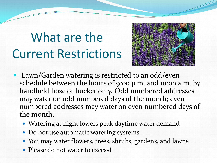

- Lawn/Garden watering is restricted to an odd/even schedule between the hours of 9:00 p.m. and 10:00 a.m. by handheld hose or bucket only. Odd numbered addresses may water on odd numbered days of the month; even numbered addresses may water on even numbered days of the month.
	- Watering at night lowers peak daytime water demand
	- Do not use automatic watering systems
	- You may water flowers, trees, shrubs, gardens, and lawns
	- Please do not water to excess!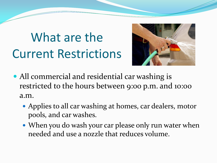

- All commercial and residential car washing is restricted to the hours between 9:00 p.m. and 10:00 a.m.
	- Applies to all car washing at homes, car dealers, motor pools, and car washes.
	- When you do wash your car please only run water when needed and use a nozzle that reduces volume.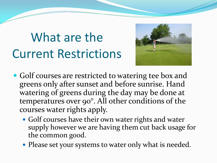

- Golf courses are restricted to watering tee box and greens only after sunset and before sunrise. Hand watering of greens during the day may be done at temperatures over 90°. All other conditions of the courses water rights apply.
	- Golf courses have their own water rights and water supply however we are having them cut back usage for the common good.
	- Please set your systems to water only what is needed.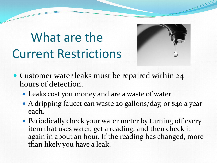

- Customer water leaks must be repaired within 24 hours of detection.
	- Leaks cost you money and are a waste of water
	- A dripping faucet can waste 20 gallons/day, or \$40 a year each.
	- Periodically check your water meter by turning off every item that uses water, get a reading, and then check it again in about an hour. If the reading has changed, more than likely you have a leak.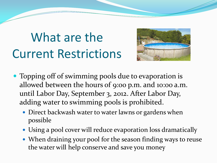

- Topping off of swimming pools due to evaporation is allowed between the hours of 9:00 p.m. and 10:00 a.m. until Labor Day, September 3, 2012. After Labor Day, adding water to swimming pools is prohibited.
	- Direct backwash water to water lawns or gardens when possible
	- Using a pool cover will reduce evaporation loss dramatically
	- When draining your pool for the season finding ways to reuse the water will help conserve and save you money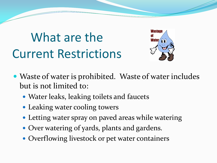

- Waste of water is prohibited. Waste of water includes but is not limited to:
	- Water leaks, leaking toilets and faucets
	- Leaking water cooling towers
	- Letting water spray on paved areas while watering
	- Over watering of yards, plants and gardens.
	- Overflowing livestock or pet water containers